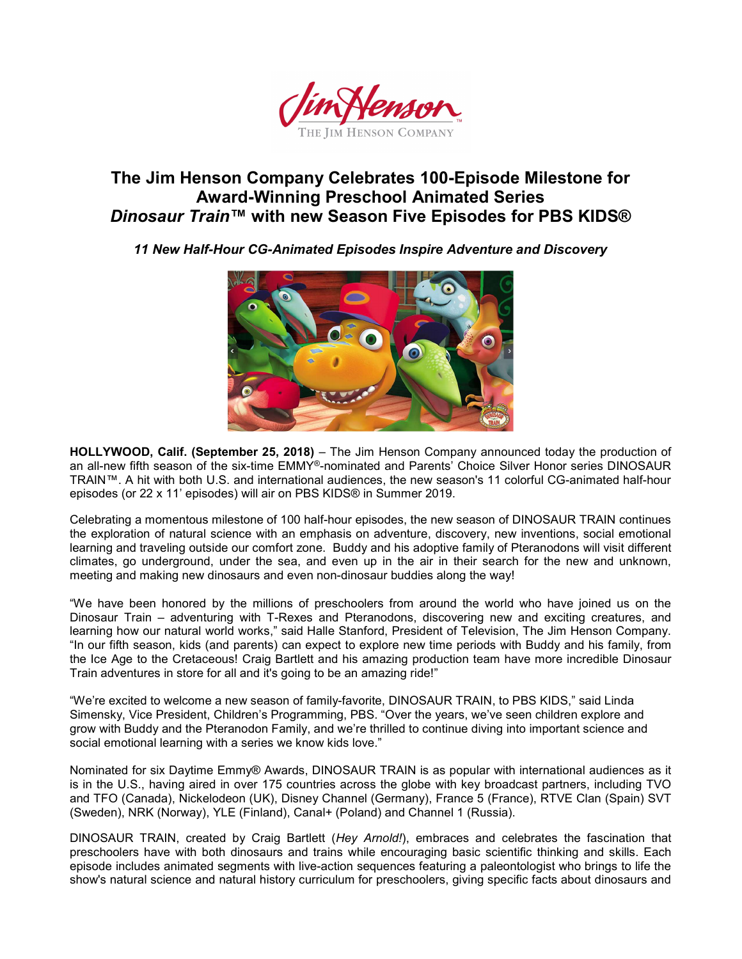

# The Jim Henson Company Celebrates 100-Episode Milestone for Award-Winning Preschool Animated Series Dinosaur Train™ with new Season Five Episodes for PBS KIDS®

11 New Half-Hour CG-Animated Episodes Inspire Adventure and Discovery



HOLLYWOOD, Calif. (September 25, 2018) – The Jim Henson Company announced today the production of an all-new fifth season of the six-time EMMY®-nominated and Parents' Choice Silver Honor series DINOSAUR TRAIN™. A hit with both U.S. and international audiences, the new season's 11 colorful CG-animated half-hour episodes (or 22 x 11' episodes) will air on PBS KIDS® in Summer 2019.

Celebrating a momentous milestone of 100 half-hour episodes, the new season of DINOSAUR TRAIN continues the exploration of natural science with an emphasis on adventure, discovery, new inventions, social emotional learning and traveling outside our comfort zone. Buddy and his adoptive family of Pteranodons will visit different climates, go underground, under the sea, and even up in the air in their search for the new and unknown, meeting and making new dinosaurs and even non-dinosaur buddies along the way!

"We have been honored by the millions of preschoolers from around the world who have joined us on the Dinosaur Train – adventuring with T-Rexes and Pteranodons, discovering new and exciting creatures, and learning how our natural world works," said Halle Stanford, President of Television, The Jim Henson Company. "In our fifth season, kids (and parents) can expect to explore new time periods with Buddy and his family, from the Ice Age to the Cretaceous! Craig Bartlett and his amazing production team have more incredible Dinosaur Train adventures in store for all and it's going to be an amazing ride!"

"We're excited to welcome a new season of family-favorite, DINOSAUR TRAIN, to PBS KIDS," said Linda Simensky, Vice President, Children's Programming, PBS. "Over the years, we've seen children explore and grow with Buddy and the Pteranodon Family, and we're thrilled to continue diving into important science and social emotional learning with a series we know kids love."

Nominated for six Daytime Emmy® Awards, DINOSAUR TRAIN is as popular with international audiences as it is in the U.S., having aired in over 175 countries across the globe with key broadcast partners, including TVO and TFO (Canada), Nickelodeon (UK), Disney Channel (Germany), France 5 (France), RTVE Clan (Spain) SVT (Sweden), NRK (Norway), YLE (Finland), Canal+ (Poland) and Channel 1 (Russia).

DINOSAUR TRAIN, created by Craig Bartlett (Hey Arnold!), embraces and celebrates the fascination that preschoolers have with both dinosaurs and trains while encouraging basic scientific thinking and skills. Each episode includes animated segments with live-action sequences featuring a paleontologist who brings to life the show's natural science and natural history curriculum for preschoolers, giving specific facts about dinosaurs and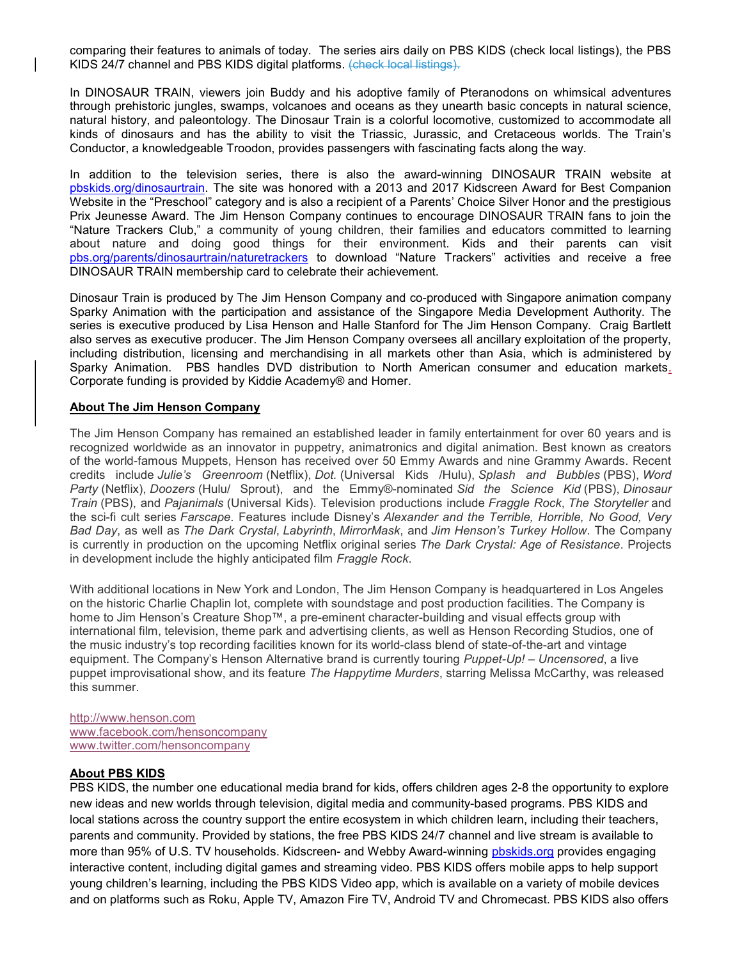comparing their features to animals of today. The series airs daily on PBS KIDS (check local listings), the PBS KIDS 24/7 channel and PBS KIDS digital platforms. (check local listings).

In DINOSAUR TRAIN, viewers join Buddy and his adoptive family of Pteranodons on whimsical adventures through prehistoric jungles, swamps, volcanoes and oceans as they unearth basic concepts in natural science, natural history, and paleontology. The Dinosaur Train is a colorful locomotive, customized to accommodate all kinds of dinosaurs and has the ability to visit the Triassic, Jurassic, and Cretaceous worlds. The Train's Conductor, a knowledgeable Troodon, provides passengers with fascinating facts along the way.

In addition to the television series, there is also the award-winning DINOSAUR TRAIN website at pbskids.org/dinosaurtrain. The site was honored with a 2013 and 2017 Kidscreen Award for Best Companion Website in the "Preschool" category and is also a recipient of a Parents' Choice Silver Honor and the prestigious Prix Jeunesse Award. The Jim Henson Company continues to encourage DINOSAUR TRAIN fans to join the "Nature Trackers Club," a community of young children, their families and educators committed to learning about nature and doing good things for their environment. Kids and their parents can visit pbs.org/parents/dinosaurtrain/naturetrackers to download "Nature Trackers" activities and receive a free DINOSAUR TRAIN membership card to celebrate their achievement.

Dinosaur Train is produced by The Jim Henson Company and co-produced with Singapore animation company Sparky Animation with the participation and assistance of the Singapore Media Development Authority. The series is executive produced by Lisa Henson and Halle Stanford for The Jim Henson Company. Craig Bartlett also serves as executive producer. The Jim Henson Company oversees all ancillary exploitation of the property, including distribution, licensing and merchandising in all markets other than Asia, which is administered by Sparky Animation. PBS handles DVD distribution to North American consumer and education markets. Corporate funding is provided by Kiddie Academy® and Homer.

#### About The Jim Henson Company

The Jim Henson Company has remained an established leader in family entertainment for over 60 years and is recognized worldwide as an innovator in puppetry, animatronics and digital animation. Best known as creators of the world-famous Muppets, Henson has received over 50 Emmy Awards and nine Grammy Awards. Recent credits include Julie's Greenroom (Netflix), Dot. (Universal Kids /Hulu), Splash and Bubbles (PBS), Word Party (Netflix), Doozers (Hulu/ Sprout), and the Emmy®-nominated Sid the Science Kid (PBS), Dinosaur Train (PBS), and Pajanimals (Universal Kids). Television productions include Fraggle Rock, The Storyteller and the sci-fi cult series Farscape. Features include Disney's Alexander and the Terrible, Horrible, No Good, Very Bad Day, as well as The Dark Crystal, Labyrinth, MirrorMask, and Jim Henson's Turkey Hollow. The Company is currently in production on the upcoming Netflix original series The Dark Crystal: Age of Resistance. Projects in development include the highly anticipated film Fraggle Rock.

With additional locations in New York and London, The Jim Henson Company is headquartered in Los Angeles on the historic Charlie Chaplin lot, complete with soundstage and post production facilities. The Company is home to Jim Henson's Creature Shop™, a pre-eminent character-building and visual effects group with international film, television, theme park and advertising clients, as well as Henson Recording Studios, one of the music industry's top recording facilities known for its world-class blend of state-of-the-art and vintage equipment. The Company's Henson Alternative brand is currently touring Puppet-Up! – Uncensored, a live puppet improvisational show, and its feature The Happytime Murders, starring Melissa McCarthy, was released this summer.

http://www.henson.com www.facebook.com/hensoncompany www.twitter.com/hensoncompany

# About PBS KIDS

PBS KIDS, the number one educational media brand for kids, offers children ages 2-8 the opportunity to explore new ideas and new worlds through television, digital media and community-based programs. PBS KIDS and local stations across the country support the entire ecosystem in which children learn, including their teachers, parents and community. Provided by stations, the free PBS KIDS 24/7 channel and live stream is available to more than 95% of U.S. TV households. Kidscreen- and Webby Award-winning pbskids.org provides engaging interactive content, including digital games and streaming video. PBS KIDS offers mobile apps to help support young children's learning, including the PBS KIDS Video app, which is available on a variety of mobile devices and on platforms such as Roku, Apple TV, Amazon Fire TV, Android TV and Chromecast. PBS KIDS also offers